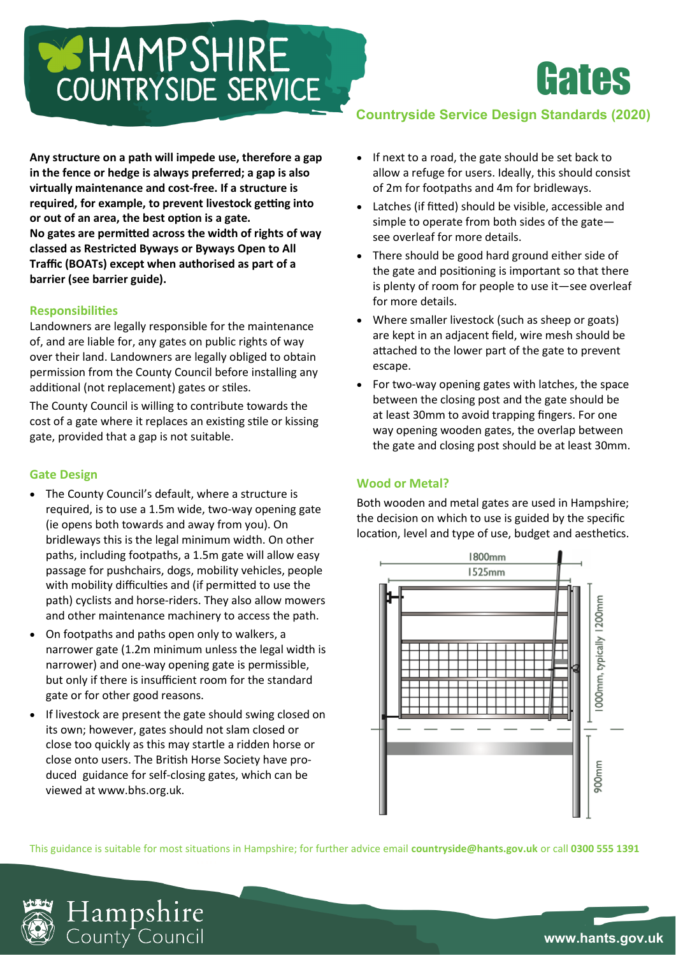# COUNTRYSIDE SERVICE

**Any structure on a path will impede use, therefore a gap in the fence or hedge is always preferred; a gap is also virtually maintenance and cost-free. If a structure is required, for example, to prevent livestock getting into or out of an area, the best option is a gate. No gates are permitted across the width of rights of way classed as Restricted Byways or Byways Open to All Traffic (BOATs) except when authorised as part of a barrier (see barrier guide).**

#### **Responsibilities**

Landowners are legally responsible for the maintenance of, and are liable for, any gates on public rights of way over their land. Landowners are legally obliged to obtain permission from the County Council before installing any additional (not replacement) gates or stiles.

The County Council is willing to contribute towards the cost of a gate where it replaces an existing stile or kissing gate, provided that a gap is not suitable.

## **Gate Design**

- The County Council's default, where a structure is required, is to use a 1.5m wide, two-way opening gate (ie opens both towards and away from you). On bridleways this is the legal minimum width. On other paths, including footpaths, a 1.5m gate will allow easy passage for pushchairs, dogs, mobility vehicles, people with mobility difficulties and (if permitted to use the path) cyclists and horse-riders. They also allow mowers and other maintenance machinery to access the path.
- On footpaths and paths open only to walkers, a narrower gate (1.2m minimum unless the legal width is narrower) and one-way opening gate is permissible, but only if there is insufficient room for the standard gate or for other good reasons.
- If livestock are present the gate should swing closed on its own; however, gates should not slam closed or close too quickly as this may startle a ridden horse or close onto users. The British Horse Society have produced guidance for self-closing gates, which can be viewed at www.bhs.org.uk.

# **Countryside Service Design Standards (2020)**

**Hates** 

- If next to a road, the gate should be set back to allow a refuge for users. Ideally, this should consist of 2m for footpaths and 4m for bridleways.
- Latches (if fitted) should be visible, accessible and simple to operate from both sides of the gate see overleaf for more details.
- There should be good hard ground either side of the gate and positioning is important so that there is plenty of room for people to use it—see overleaf for more details.
- Where smaller livestock (such as sheep or goats) are kept in an adjacent field, wire mesh should be attached to the lower part of the gate to prevent escape.
- For two-way opening gates with latches, the space between the closing post and the gate should be at least 30mm to avoid trapping fingers. For one way opening wooden gates, the overlap between the gate and closing post should be at least 30mm.

#### **Wood or Metal?**

Both wooden and metal gates are used in Hampshire; the decision on which to use is guided by the specific location, level and type of use, budget and aesthetics.



This guidance is suitable for most situations in Hampshire; for further advice email **countryside@hants.gov.uk** or call **0300 555 1391**